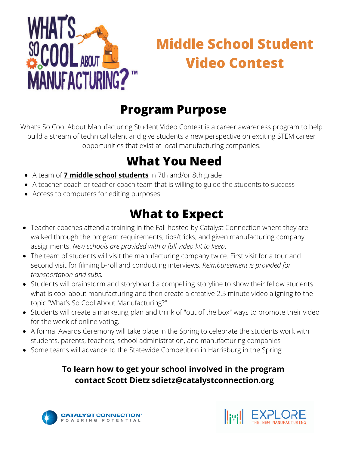

# **Middle School Student Video Contest**

#### **Program Purpose**

What's So Cool About Manufacturing Student Video Contest is a career awareness program to help build a stream of technical talent and give students a new perspective on exciting STEM career opportunities that exist at local manufacturing companies.

### **What You Need**

- A team of **7 middle school students** in 7th and/or 8th grade
- A teacher coach or teacher coach team that is willing to guide the students to success
- Access to computers for editing purposes

### **What to Expect**

- Teacher coaches attend a training in the Fall hosted by Catalyst Connection where they are walked through the program requirements, tips/tricks, and given manufacturing company assignments. *New schools are provided with a full video kit to keep*.
- The team of students will visit the manufacturing company twice. First visit for a tour and second visit for filming b-roll and conducting interviews. *Reimbursement is provided for transportation and subs.*
- Students will brainstorm and storyboard a compelling storyline to show their fellow students what is cool about manufacturing and then create a creative 2.5 minute video aligning to the topic "What's So Cool About Manufacturing?"
- Students will create a marketing plan and think of "out of the box" ways to promote their video for the week of online voting.
- A formal Awards Ceremony will take place in the Spring to celebrate the students work with students, parents, teachers, school administration, and manufacturing companies
- Some teams will advance to the Statewide Competition in Harrisburg in the Spring

#### **To learn how to get your school involved in the program contact Scott Dietz sdietz@catalystconnection.org**